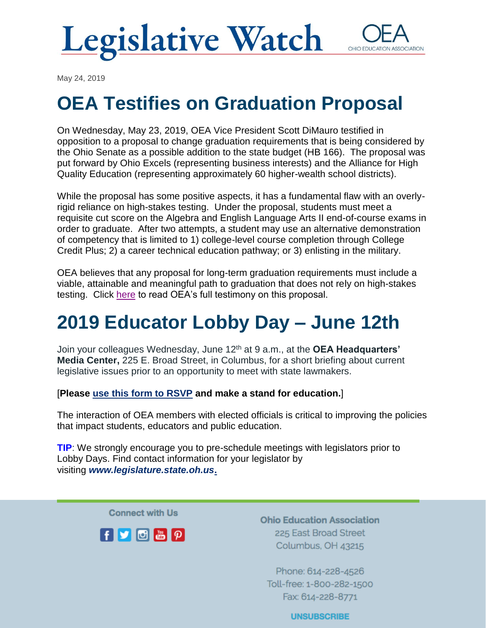

May 24, 2019

## **OEA Testifies on Graduation Proposal**

On Wednesday, May 23, 2019, OEA Vice President Scott DiMauro testified in opposition to a proposal to change graduation requirements that is being considered by the Ohio Senate as a possible addition to the state budget (HB 166). The proposal was put forward by Ohio Excels (representing business interests) and the Alliance for High Quality Education (representing approximately 60 higher-wealth school districts).

While the proposal has some positive aspects, it has a fundamental flaw with an overlyrigid reliance on high-stakes testing. Under the proposal, students must meet a requisite cut score on the Algebra and English Language Arts II end-of-course exams in order to graduate. After two attempts, a student may use an alternative demonstration of competency that is limited to 1) college-level course completion through College Credit Plus; 2) a career technical education pathway; or 3) enlisting in the military.

OEA believes that any proposal for long-term graduation requirements must include a viable, attainable and meaningful path to graduation that does not rely on high-stakes testing. Click [here](https://www.ohea.org/resources/take-action/oh-senate-dimauro-gradreq/) to read OEA's full testimony on this proposal.

## **2019 Educator Lobby Day – June 12th**

Join your colleagues Wednesday, June 12th at 9 a.m., at the **OEA Headquarters' Media Center,** 225 E. Broad Street, in Columbus, for a short briefing about current legislative issues prior to an opportunity to meet with state lawmakers.

[**Please [use this form to RSVP](https://www.ohea.org/actions/2019-oea-educator-lobby-days/) and make a stand for education.**]

The interaction of OEA members with elected officials is critical to improving the policies that impact students, educators and public education.

**TIP**: We strongly encourage you to pre-schedule meetings with legislators prior to Lobby Days. Find contact information for your legislator by visiting *[www.legislature.state.oh.us](https://www.legislature.ohio.gov/)***.**

**Connect with Us** 



**Ohio Education Association** 225 East Broad Street Columbus, OH 43215

Phone: 614-228-4526 Toll-free: 1-800-282-1500 Fax: 614-228-8771

**UNSUBSCRIBE**